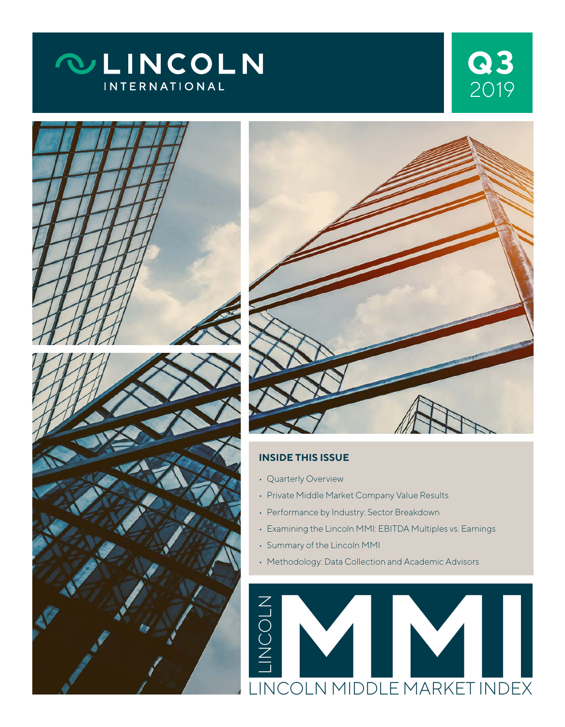









#### **INSIDE THIS ISSUE**

- Quarterly Overview
- Private Middle Market Company Value Results
- Performance by Industry: Sector Breakdown
- Examining the Lincoln MMI: EBITDA Multiples vs. Earnings
- Summary of the Lincoln MMI
- Methodology: Data Collection and Academic Advisors

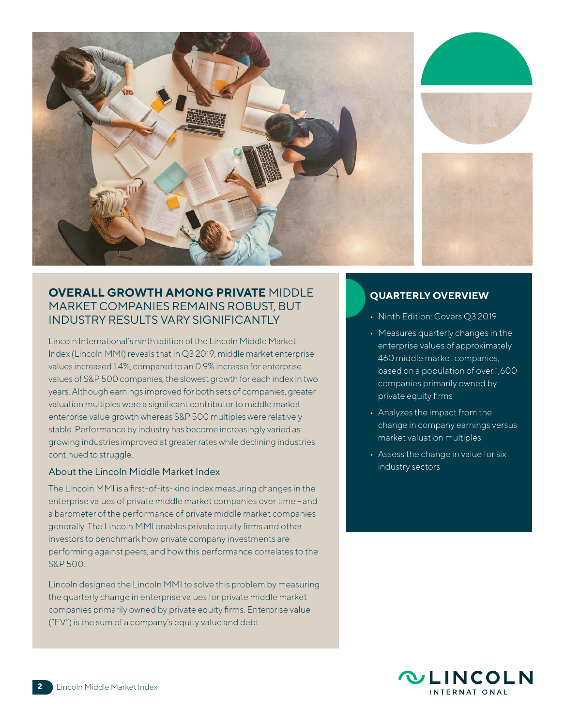

## **OVERALL GROWTH AMONG PRIVATE** MIDDLE MARKET COMPANIES REMAINS ROBUST, BUT INDUSTRY RESULTS VARY SIGNIFICANTLY

Lincoln International's ninth edition of the Lincoln Middle Market Index (Lincoln MMI) reveals that in Q3 2019, middle market enterprise values increased 1.4%, compared to an 0.9% increase for enterprise values of S&P 500 companies, the slowest growth for each index in two years. Although earnings improved for both sets of companies, greater valuation multiples were a significant contributor to middle market enterprise value growth whereas S&P 500 multiples were relatively stable. Performance by industry has become increasingly varied as growing industries improved at greater rates while declining industries continued to struggle.

#### About the Lincoln Middle Market Index

The Lincoln MMI is a first-of-its-kind index measuring changes in the enterprise values of private middle market companies over time - and a barometer of the performance of private middle market companies generally. The Lincoln MMI enables private equity firms and other investors to benchmark how private company investments are performing against peers, and how this performance correlates to the S&P 500.

Lincoln designed the Lincoln MMI to solve this problem by measuring the quarterly change in enterprise values for private middle market companies primarily owned by private equity firms. Enterprise value ("EV") is the sum of a company's equity value and debt.

#### **QUARTERLY OVERVIEW**

- Ninth Edition: Covers Q3 2019
- Measures quarterly changes in the enterprise values of approximately 460 middle market companies, based on a population of over 1,600 companies primarily owned by private equity firms
- Analyzes the impact from the change in company earnings versus market valuation multiples
- Assess the change in value for six industry sectors

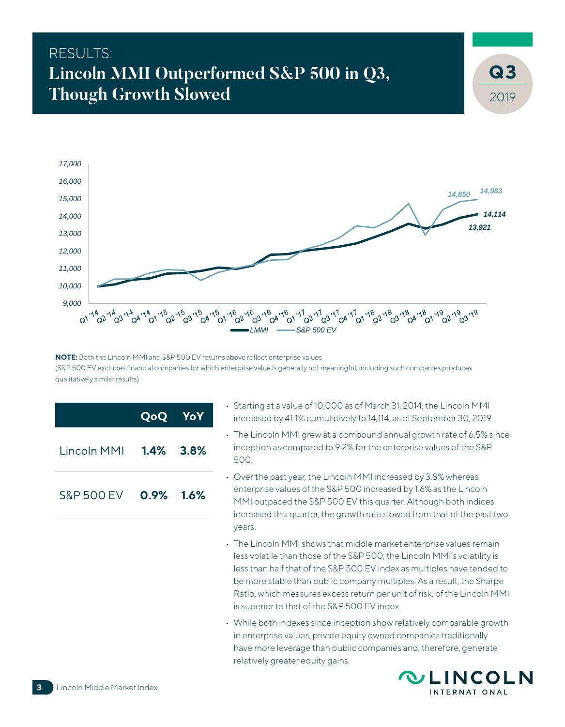# RESULTS: **Lincoln MMI Outperformed S&P 500 in Q3, Though Growth Slowed**



**NOTE:** Both the Lincoln MMI and S&P 500 EV returns above reflect enterprise values (S&P 500 EV excludes financial companies for which enterprise value is generally not meaningful; including such companies produces qualitatively similar results)

|                       | QoQ YoY      |  |
|-----------------------|--------------|--|
| Lincoln MMI 1.4% 3.8% |              |  |
| <b>S&amp;P 500 EV</b> | $0.9\%$ 1.6% |  |

- Starting at a value of 10,000 as of March 31, 2014, the Lincoln MMI increased by 41.1% cumulatively to 14,114, as of September 30, 2019.
- The Lincoln MMI grew at a compound annual growth rate of 6.5% since inception as compared to 9.2% for the enterprise values of the S&P 500.
- Over the past year, the Lincoln MMI increased by 3.8% whereas enterprise values of the S&P 500 increased by 1.6% as the Lincoln MMI outpaced the S&P 500 EV this quarter. Although both indices increased this quarter, the growth rate slowed from that of the past two years.
- The Lincoln MMI shows that middle market enterprise values remain less volatile than those of the S&P 500; the Lincoln MMI's volatility is less than half that of the S&P 500 EV index as multiples have tended to be more stable than public company multiples. As a result, the Sharpe Ratio, which measures excess return per unit of risk, of the Lincoln MMI is superior to that of the S&P 500 EV index.
- While both indexes since inception show relatively comparable growth in enterprise values, private equity owned companies traditionally have more leverage than public companies and, therefore, generate relatively greater equity gains.



2019

**3**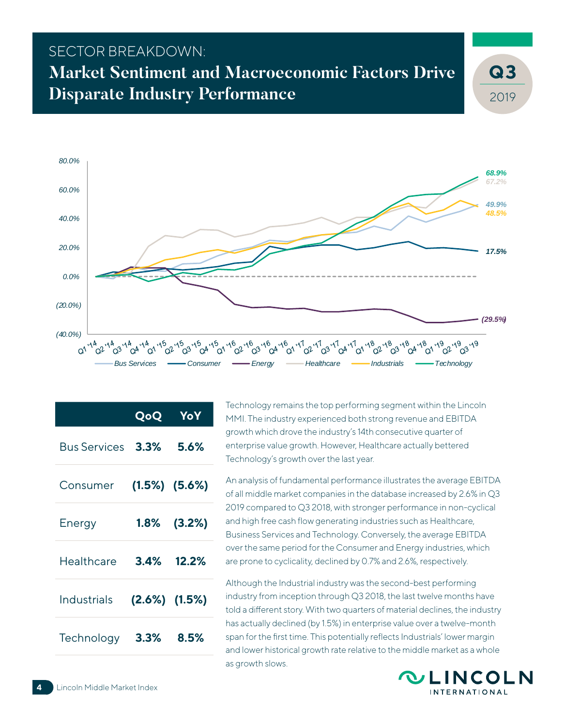# SECTOR BREAKDOWN: **Market Sentiment and Macroeconomic Factors Drive Disparate Industry Performance**

2019 **3**



|                    | QoQ  | YoY                 |
|--------------------|------|---------------------|
| Bus Services       | 3.3% | 5.6%                |
| Consumer           |      | $(1.5\%)$ $(5.6\%)$ |
| Energy             |      | 1.8% (3.2%)         |
| Healthcare         | 3.4% | 12.2%               |
| <b>Industrials</b> |      | $(2.6\%)$ $(1.5\%)$ |
| Technology         | 3.3% | 8.5%                |

Technology remains the top performing segment within the Lincoln MMI. The industry experienced both strong revenue and EBITDA growth which drove the industry's 14th consecutive quarter of enterprise value growth. However, Healthcare actually bettered Technology's growth over the last year.

An analysis of fundamental performance illustrates the average EBITDA of all middle market companies in the database increased by 2.6% in Q3 2019 compared to Q3 2018, with stronger performance in non-cyclical and high free cash flow generating industries such as Healthcare, Business Services and Technology. Conversely, the average EBITDA over the same period for the Consumer and Energy industries, which are prone to cyclicality, declined by 0.7% and 2.6%, respectively.

Although the Industrial industry was the second-best performing industry from inception through Q3 2018, the last twelve months have told a different story. With two quarters of material declines, the industry has actually declined (by 1.5%) in enterprise value over a twelve-month span for the first time. This potentially reflects Industrials' lower margin and lower historical growth rate relative to the middle market as a whole as growth slows.

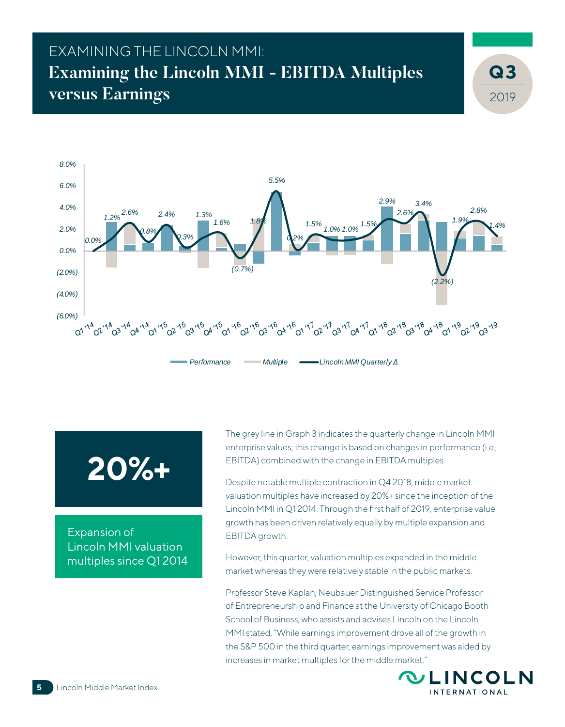# EXAMINING THE LINCOLN MMI: **Examining the Lincoln MMI - EBITDA Multiples versus Earnings**



*Performance Multiple Lincoln MMI Quarterly Δ*

# **20%+**

Expansion of Lincoln MMI valuation multiples since Q1 2014

The grey line in Graph 3 indicates the quarterly change in Lincoln MMI enterprise values; this change is based on changes in performance (i.e., EBITDA) combined with the change in EBITDA multiples.

Despite notable multiple contraction in Q4 2018, middle market valuation multiples have increased by 20%+ since the inception of the Lincoln MMI in Q1 2014. Through the first half of 2019, enterprise value growth has been driven relatively equally by multiple expansion and EBITDA growth.

However, this quarter, valuation multiples expanded in the middle market whereas they were relatively stable in the public markets.

Professor Steve Kaplan, Neubauer Distinguished Service Professor of Entrepreneurship and Finance at the University of Chicago Booth School of Business, who assists and advises Lincoln on the Lincoln MMI stated, "While earnings improvement drove all of the growth in the S&P 500 in the third quarter, earnings improvement was aided by increases in market multiples for the middle market."



2019

**3**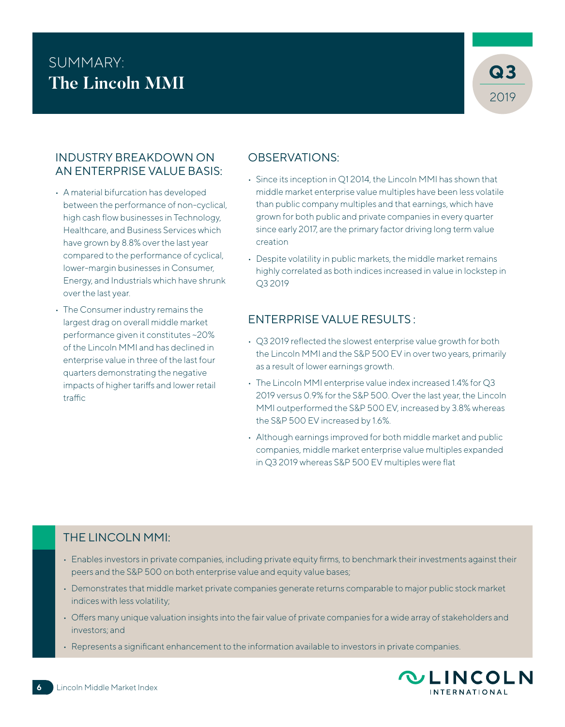# SUMMARY:<br>The Lineals MML **The Lincoln MMI**



### INDUSTRY BREAKDOWN ON AN ENTERPRISE VALUE BASIS:

- A material bifurcation has developed between the performance of non-cyclical, high cash flow businesses in Technology, Healthcare, and Business Services which have grown by 8.8% over the last year compared to the performance of cyclical, lower-margin businesses in Consumer, Energy, and Industrials which have shrunk over the last year.
- The Consumer industry remains the largest drag on overall middle market performance given it constitutes ~20% of the Lincoln MMI and has declined in enterprise value in three of the last four quarters demonstrating the negative impacts of higher tariffs and lower retail traffic

## OBSERVATIONS:

- Since its inception in Q1 2014, the Lincoln MMI has shown that middle market enterprise value multiples have been less volatile than public company multiples and that earnings, which have grown for both public and private companies in every quarter since early 2017, are the primary factor driving long term value creation
- Despite volatility in public markets, the middle market remains highly correlated as both indices increased in value in lockstep in Q3 2019

## ENTERPRISE VALUE RESULTS :

- Q3 2019 reflected the slowest enterprise value growth for both the Lincoln MMI and the S&P 500 EV in over two years, primarily as a result of lower earnings growth.
- The Lincoln MMI enterprise value index increased 1.4% for Q3 2019 versus 0.9% for the S&P 500. Over the last year, the Lincoln MMI outperformed the S&P 500 EV, increased by 3.8% whereas the S&P 500 EV increased by 1.6%.
- Although earnings improved for both middle market and public companies, middle market enterprise value multiples expanded in Q3 2019 whereas S&P 500 EV multiples were flat

## THE LINCOLN MMI:

- Enables investors in private companies, including private equity firms, to benchmark their investments against their peers and the S&P 500 on both enterprise value and equity value bases;
- Demonstrates that middle market private companies generate returns comparable to major public stock market indices with less volatility;
- Offers many unique valuation insights into the fair value of private companies for a wide array of stakeholders and investors; and
- Represents a significant enhancement to the information available to investors in private companies.

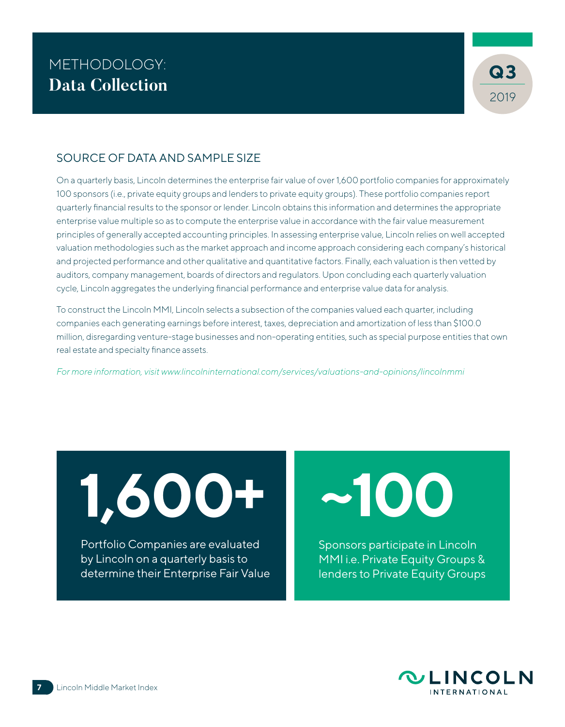

### SOURCE OF DATA AND SAMPLE SIZE

On a quarterly basis, Lincoln determines the enterprise fair value of over 1,600 portfolio companies for approximately 100 sponsors (i.e., private equity groups and lenders to private equity groups). These portfolio companies report quarterly financial results to the sponsor or lender. Lincoln obtains this information and determines the appropriate enterprise value multiple so as to compute the enterprise value in accordance with the fair value measurement principles of generally accepted accounting principles. In assessing enterprise value, Lincoln relies on well accepted valuation methodologies such as the market approach and income approach considering each company's historical and projected performance and other qualitative and quantitative factors. Finally, each valuation is then vetted by auditors, company management, boards of directors and regulators. Upon concluding each quarterly valuation cycle, Lincoln aggregates the underlying financial performance and enterprise value data for analysis.

To construct the Lincoln MMI, Lincoln selects a subsection of the companies valued each quarter, including companies each generating earnings before interest, taxes, depreciation and amortization of less than \$100.0 million, disregarding venture-stage businesses and non-operating entities, such as special purpose entities that own real estate and specialty finance assets.

*For more information, visit www.lincolninternational.com/services/valuations-and-opinions/lincolnmmi*

**1,600+**

Portfolio Companies are evaluated by Lincoln on a quarterly basis to determine their Enterprise Fair Value **~100**

Sponsors participate in Lincoln MMI i.e. Private Equity Groups & lenders to Private Equity Groups

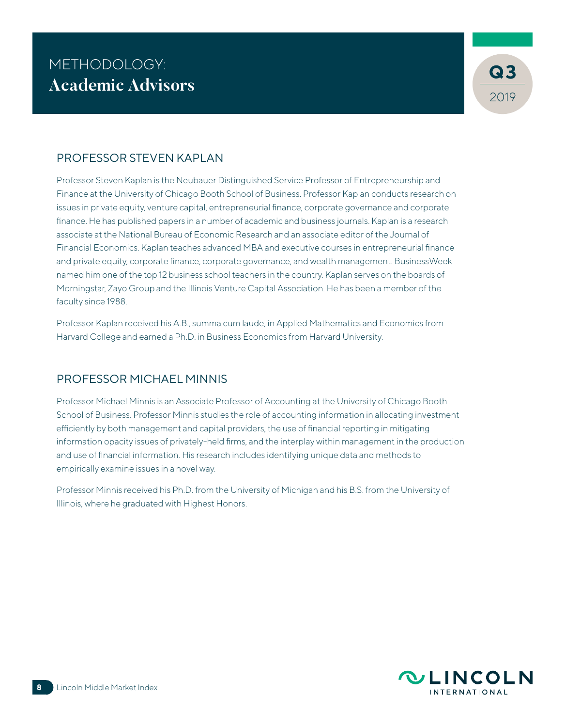

#### PROFESSOR STEVEN KAPLAN

Professor Steven Kaplan is the Neubauer Distinguished Service Professor of Entrepreneurship and Finance at the University of Chicago Booth School of Business. Professor Kaplan conducts research on issues in private equity, venture capital, entrepreneurial finance, corporate governance and corporate finance. He has published papers in a number of academic and business journals. Kaplan is a research associate at the National Bureau of Economic Research and an associate editor of the Journal of Financial Economics. Kaplan teaches advanced MBA and executive courses in entrepreneurial finance and private equity, corporate finance, corporate governance, and wealth management. BusinessWeek named him one of the top 12 business school teachers in the country. Kaplan serves on the boards of Morningstar, Zayo Group and the Illinois Venture Capital Association. He has been a member of the faculty since 1988.

Professor Kaplan received his A.B., summa cum laude, in Applied Mathematics and Economics from Harvard College and earned a Ph.D. in Business Economics from Harvard University.

#### PROFESSOR MICHAEL MINNIS

Professor Michael Minnis is an Associate Professor of Accounting at the University of Chicago Booth School of Business. Professor Minnis studies the role of accounting information in allocating investment efficiently by both management and capital providers, the use of financial reporting in mitigating information opacity issues of privately-held firms, and the interplay within management in the production and use of financial information. His research includes identifying unique data and methods to empirically examine issues in a novel way.

Professor Minnis received his Ph.D. from the University of Michigan and his B.S. from the University of Illinois, where he graduated with Highest Honors.